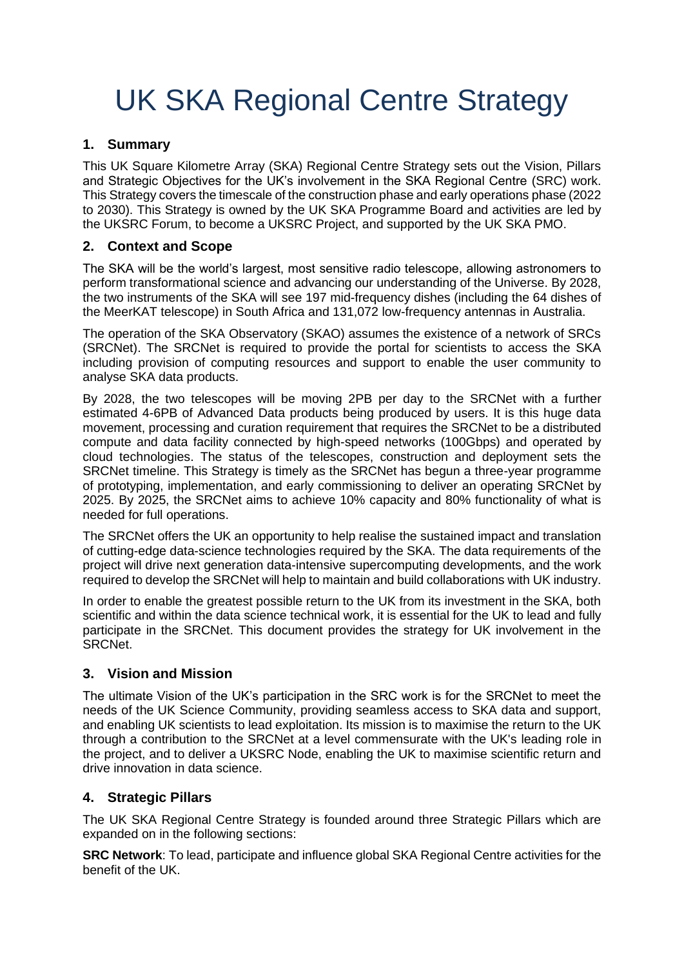# UK SKA Regional Centre Strategy

#### **1. Summary**

This UK Square Kilometre Array (SKA) Regional Centre Strategy sets out the Vision, Pillars and Strategic Objectives for the UK's involvement in the SKA Regional Centre (SRC) work. This Strategy covers the timescale of the construction phase and early operations phase (2022 to 2030). This Strategy is owned by the UK SKA Programme Board and activities are led by the UKSRC Forum, to become a UKSRC Project, and supported by the UK SKA PMO.

### **2. Context and Scope**

The SKA will be the world's largest, most sensitive radio telescope, allowing astronomers to perform transformational science and advancing our understanding of the Universe. By 2028, the two instruments of the SKA will see 197 mid-frequency dishes (including the 64 dishes of the MeerKAT telescope) in South Africa and 131,072 low-frequency antennas in Australia.

The operation of the SKA Observatory (SKAO) assumes the existence of a network of SRCs (SRCNet). The SRCNet is required to provide the portal for scientists to access the SKA including provision of computing resources and support to enable the user community to analyse SKA data products.

By 2028, the two telescopes will be moving 2PB per day to the SRCNet with a further estimated 4-6PB of Advanced Data products being produced by users. It is this huge data movement, processing and curation requirement that requires the SRCNet to be a distributed compute and data facility connected by high-speed networks (100Gbps) and operated by cloud technologies. The status of the telescopes, construction and deployment sets the SRCNet timeline. This Strategy is timely as the SRCNet has begun a three-year programme of prototyping, implementation, and early commissioning to deliver an operating SRCNet by 2025. By 2025, the SRCNet aims to achieve 10% capacity and 80% functionality of what is needed for full operations.

The SRCNet offers the UK an opportunity to help realise the sustained impact and translation of cutting-edge data-science technologies required by the SKA. The data requirements of the project will drive next generation data-intensive supercomputing developments, and the work required to develop the SRCNet will help to maintain and build collaborations with UK industry.

In order to enable the greatest possible return to the UK from its investment in the SKA, both scientific and within the data science technical work, it is essential for the UK to lead and fully participate in the SRCNet. This document provides the strategy for UK involvement in the SRCNet.

#### **3. Vision and Mission**

The ultimate Vision of the UK's participation in the SRC work is for the SRCNet to meet the needs of the UK Science Community, providing seamless access to SKA data and support, and enabling UK scientists to lead exploitation. Its mission is to maximise the return to the UK through a contribution to the SRCNet at a level commensurate with the UK's leading role in the project, and to deliver a UKSRC Node, enabling the UK to maximise scientific return and drive innovation in data science.

#### **4. Strategic Pillars**

The UK SKA Regional Centre Strategy is founded around three Strategic Pillars which are expanded on in the following sections:

**SRC Network**: To lead, participate and influence global SKA Regional Centre activities for the benefit of the UK.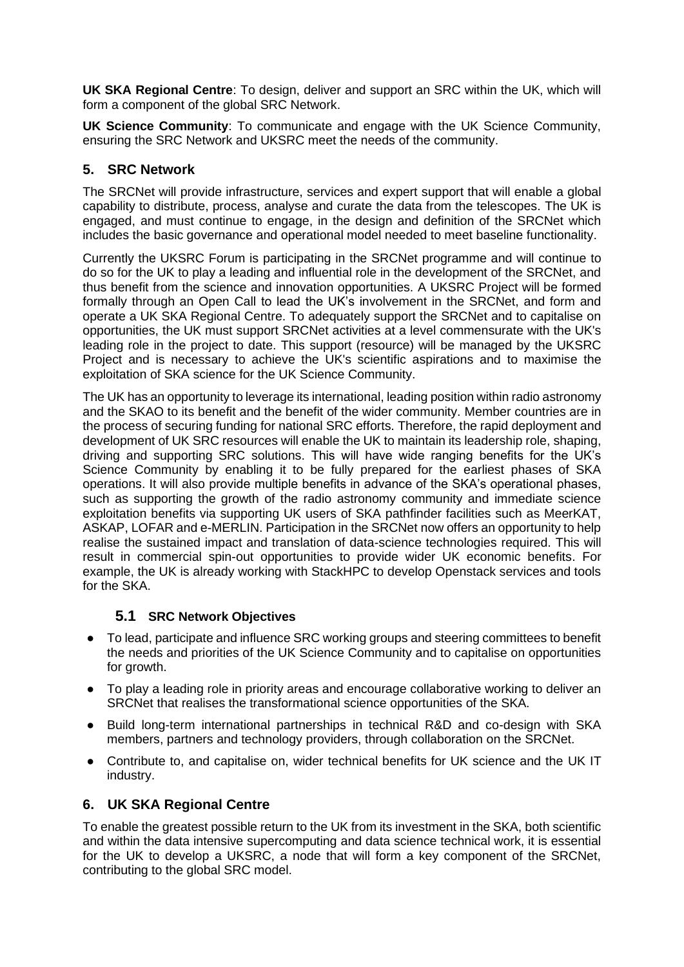**UK SKA Regional Centre**: To design, deliver and support an SRC within the UK, which will form a component of the global SRC Network.

**UK Science Community**: To communicate and engage with the UK Science Community, ensuring the SRC Network and UKSRC meet the needs of the community.

#### **5. SRC Network**

The SRCNet will provide infrastructure, services and expert support that will enable a global capability to distribute, process, analyse and curate the data from the telescopes. The UK is engaged, and must continue to engage, in the design and definition of the SRCNet which includes the basic governance and operational model needed to meet baseline functionality.

Currently the UKSRC Forum is participating in the SRCNet programme and will continue to do so for the UK to play a leading and influential role in the development of the SRCNet, and thus benefit from the science and innovation opportunities. A UKSRC Project will be formed formally through an Open Call to lead the UK's involvement in the SRCNet, and form and operate a UK SKA Regional Centre. To adequately support the SRCNet and to capitalise on opportunities, the UK must support SRCNet activities at a level commensurate with the UK's leading role in the project to date. This support (resource) will be managed by the UKSRC Project and is necessary to achieve the UK's scientific aspirations and to maximise the exploitation of SKA science for the UK Science Community.

The UK has an opportunity to leverage its international, leading position within radio astronomy and the SKAO to its benefit and the benefit of the wider community. Member countries are in the process of securing funding for national SRC efforts. Therefore, the rapid deployment and development of UK SRC resources will enable the UK to maintain its leadership role, shaping, driving and supporting SRC solutions. This will have wide ranging benefits for the UK's Science Community by enabling it to be fully prepared for the earliest phases of SKA operations. It will also provide multiple benefits in advance of the SKA's operational phases, such as supporting the growth of the radio astronomy community and immediate science exploitation benefits via supporting UK users of SKA pathfinder facilities such as MeerKAT, ASKAP, LOFAR and e-MERLIN. Participation in the SRCNet now offers an opportunity to help realise the sustained impact and translation of data-science technologies required. This will result in commercial spin-out opportunities to provide wider UK economic benefits. For example, the UK is already working with StackHPC to develop Openstack services and tools for the SKA.

#### **5.1 SRC Network Objectives**

- To lead, participate and influence SRC working groups and steering committees to benefit the needs and priorities of the UK Science Community and to capitalise on opportunities for growth.
- To play a leading role in priority areas and encourage collaborative working to deliver an SRCNet that realises the transformational science opportunities of the SKA.
- Build long-term international partnerships in technical R&D and co-design with SKA members, partners and technology providers, through collaboration on the SRCNet.
- Contribute to, and capitalise on, wider technical benefits for UK science and the UK IT industry.

## **6. UK SKA Regional Centre**

To enable the greatest possible return to the UK from its investment in the SKA, both scientific and within the data intensive supercomputing and data science technical work, it is essential for the UK to develop a UKSRC, a node that will form a key component of the SRCNet, contributing to the global SRC model.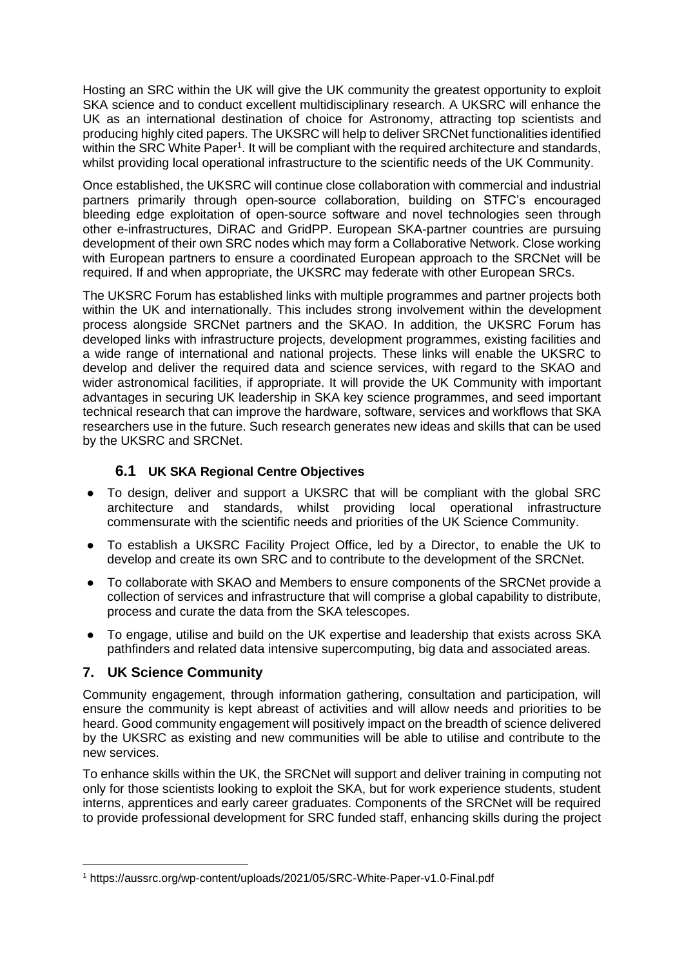Hosting an SRC within the UK will give the UK community the greatest opportunity to exploit SKA science and to conduct excellent multidisciplinary research. A UKSRC will enhance the UK as an international destination of choice for Astronomy, attracting top scientists and producing highly cited papers. The UKSRC will help to deliver SRCNet functionalities identified within the SRC White Paper<sup>1</sup>. It will be compliant with the required architecture and standards, whilst providing local operational infrastructure to the scientific needs of the UK Community.

Once established, the UKSRC will continue close collaboration with commercial and industrial partners primarily through open-source collaboration, building on STFC's encouraged bleeding edge exploitation of open-source software and novel technologies seen through other e-infrastructures, DiRAC and GridPP. European SKA-partner countries are pursuing development of their own SRC nodes which may form a Collaborative Network. Close working with European partners to ensure a coordinated European approach to the SRCNet will be required. If and when appropriate, the UKSRC may federate with other European SRCs.

The UKSRC Forum has established links with multiple programmes and partner projects both within the UK and internationally. This includes strong involvement within the development process alongside SRCNet partners and the SKAO. In addition, the UKSRC Forum has developed links with infrastructure projects, development programmes, existing facilities and a wide range of international and national projects. These links will enable the UKSRC to develop and deliver the required data and science services, with regard to the SKAO and wider astronomical facilities, if appropriate. It will provide the UK Community with important advantages in securing UK leadership in SKA key science programmes, and seed important technical research that can improve the hardware, software, services and workflows that SKA researchers use in the future. Such research generates new ideas and skills that can be used by the UKSRC and SRCNet.

#### **6.1 UK SKA Regional Centre Objectives**

- To design, deliver and support a UKSRC that will be compliant with the global SRC architecture and standards, whilst providing local operational infrastructure commensurate with the scientific needs and priorities of the UK Science Community.
- To establish a UKSRC Facility Project Office, led by a Director, to enable the UK to develop and create its own SRC and to contribute to the development of the SRCNet.
- To collaborate with SKAO and Members to ensure components of the SRCNet provide a collection of services and infrastructure that will comprise a global capability to distribute, process and curate the data from the SKA telescopes.
- To engage, utilise and build on the UK expertise and leadership that exists across SKA pathfinders and related data intensive supercomputing, big data and associated areas.

#### **7. UK Science Community**

Community engagement, through information gathering, consultation and participation, will ensure the community is kept abreast of activities and will allow needs and priorities to be heard. Good community engagement will positively impact on the breadth of science delivered by the UKSRC as existing and new communities will be able to utilise and contribute to the new services.

To enhance skills within the UK, the SRCNet will support and deliver training in computing not only for those scientists looking to exploit the SKA, but for work experience students, student interns, apprentices and early career graduates. Components of the SRCNet will be required to provide professional development for SRC funded staff, enhancing skills during the project

<sup>1</sup> https://aussrc.org/wp-content/uploads/2021/05/SRC-White-Paper-v1.0-Final.pdf